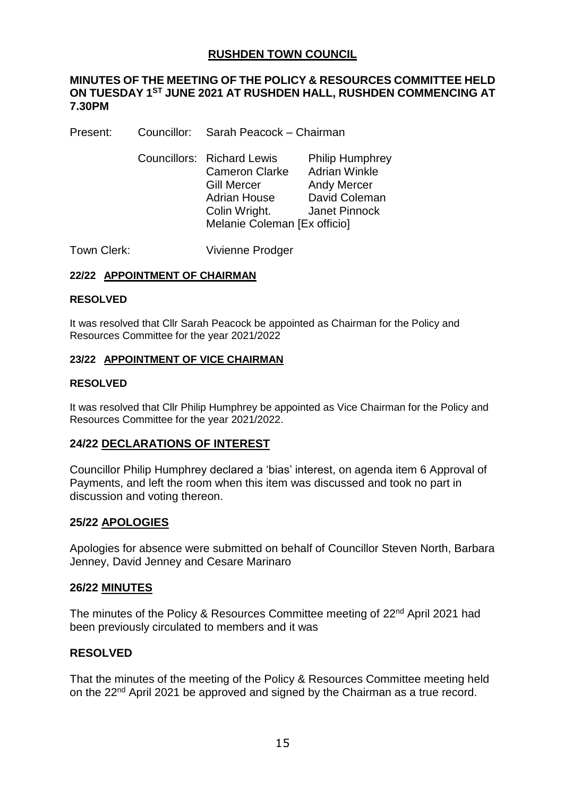# **RUSHDEN TOWN COUNCIL**

### **MINUTES OF THE MEETING OF THE POLICY & RESOURCES COMMITTEE HELD ON TUESDAY 1ST JUNE 2021 AT RUSHDEN HALL, RUSHDEN COMMENCING AT 7.30PM**

Present: Councillor: Sarah Peacock – Chairman

Councillors: Richard Lewis Philip Humphrey Cameron Clarke Adrian Winkle Gill Mercer **Andy Mercer** Adrian House David Coleman Colin Wright. Janet Pinnock Melanie Coleman [Ex officio]

Town Clerk: Vivienne Prodger

#### **22/22 APPOINTMENT OF CHAIRMAN**

#### **RESOLVED**

It was resolved that Cllr Sarah Peacock be appointed as Chairman for the Policy and Resources Committee for the year 2021/2022

#### **23/22 APPOINTMENT OF VICE CHAIRMAN**

#### **RESOLVED**

It was resolved that Cllr Philip Humphrey be appointed as Vice Chairman for the Policy and Resources Committee for the year 2021/2022.

### **24/22 DECLARATIONS OF INTEREST**

Councillor Philip Humphrey declared a 'bias' interest, on agenda item 6 Approval of Payments, and left the room when this item was discussed and took no part in discussion and voting thereon.

### **25/22 APOLOGIES**

Apologies for absence were submitted on behalf of Councillor Steven North, Barbara Jenney, David Jenney and Cesare Marinaro

### **26/22 MINUTES**

The minutes of the Policy & Resources Committee meeting of 22<sup>nd</sup> April 2021 had been previously circulated to members and it was

### **RESOLVED**

That the minutes of the meeting of the Policy & Resources Committee meeting held on the 22<sup>nd</sup> April 2021 be approved and signed by the Chairman as a true record.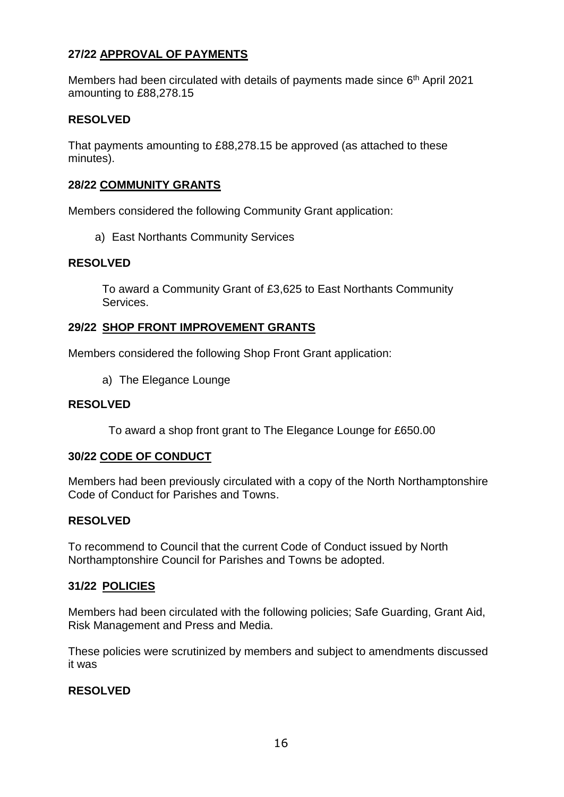# **27/22 APPROVAL OF PAYMENTS**

Members had been circulated with details of payments made since 6<sup>th</sup> April 2021 amounting to £88,278.15

## **RESOLVED**

That payments amounting to £88,278.15 be approved (as attached to these minutes).

## **28/22 COMMUNITY GRANTS**

Members considered the following Community Grant application:

a) East Northants Community Services

## **RESOLVED**

To award a Community Grant of £3,625 to East Northants Community Services.

### **29/22 SHOP FRONT IMPROVEMENT GRANTS**

Members considered the following Shop Front Grant application:

a) The Elegance Lounge

### **RESOLVED**

To award a shop front grant to The Elegance Lounge for £650.00

### **30/22 CODE OF CONDUCT**

Members had been previously circulated with a copy of the North Northamptonshire Code of Conduct for Parishes and Towns.

### **RESOLVED**

To recommend to Council that the current Code of Conduct issued by North Northamptonshire Council for Parishes and Towns be adopted.

### **31/22 POLICIES**

Members had been circulated with the following policies; Safe Guarding, Grant Aid, Risk Management and Press and Media.

These policies were scrutinized by members and subject to amendments discussed it was

# **RESOLVED**